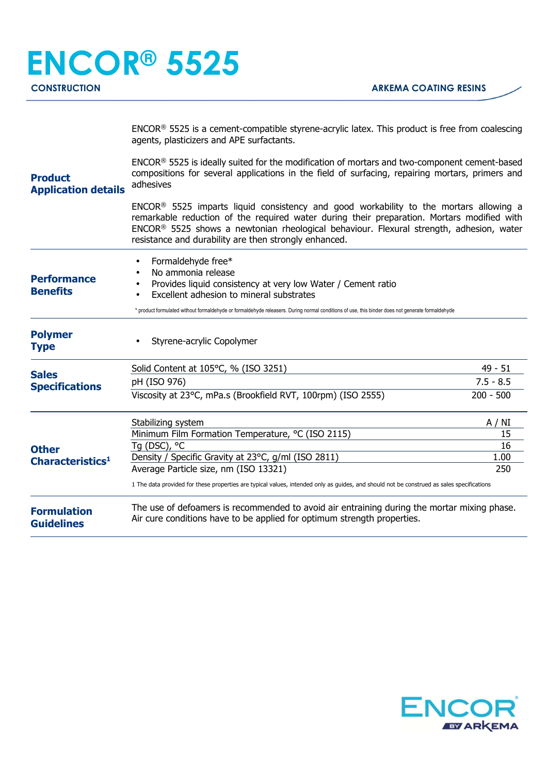|                                                                       | $ENCOR®$ 5525 is a cement-compatible styrene-acrylic latex. This product is free from coalescing<br>agents, plasticizers and APE surfactants.                                                                                                                                                                                                                   |             |  |
|-----------------------------------------------------------------------|-----------------------------------------------------------------------------------------------------------------------------------------------------------------------------------------------------------------------------------------------------------------------------------------------------------------------------------------------------------------|-------------|--|
| <b>Product</b><br><b>Application details</b>                          | ENCOR® 5525 is ideally suited for the modification of mortars and two-component cement-based<br>compositions for several applications in the field of surfacing, repairing mortars, primers and<br>adhesives                                                                                                                                                    |             |  |
|                                                                       | ENCOR <sup>®</sup> 5525 imparts liquid consistency and good workability to the mortars allowing a<br>remarkable reduction of the required water during their preparation. Mortars modified with<br>ENCOR <sup>®</sup> 5525 shows a newtonian rheological behaviour. Flexural strength, adhesion, water<br>resistance and durability are then strongly enhanced. |             |  |
| <b>Performance</b><br><b>Benefits</b>                                 | Formaldehyde free*<br>No ammonia release<br>Provides liquid consistency at very low Water / Cement ratio<br>Excellent adhesion to mineral substrates                                                                                                                                                                                                            |             |  |
|                                                                       | * product formulated without formaldehyde or formaldehyde releasers. During normal conditions of use, this binder does not generate formaldehyde                                                                                                                                                                                                                |             |  |
| <b>Polymer</b><br><b>Type</b>                                         | Styrene-acrylic Copolymer                                                                                                                                                                                                                                                                                                                                       |             |  |
|                                                                       | Solid Content at 105°C, % (ISO 3251)                                                                                                                                                                                                                                                                                                                            | $49 - 51$   |  |
| <b>Sales</b>                                                          | pH (ISO 976)                                                                                                                                                                                                                                                                                                                                                    | $7.5 - 8.5$ |  |
| <b>Specifications</b><br><b>Other</b><br>Characteristics <sup>1</sup> | Viscosity at 23°C, mPa.s (Brookfield RVT, 100rpm) (ISO 2555)                                                                                                                                                                                                                                                                                                    | $200 - 500$ |  |
|                                                                       | Stabilizing system                                                                                                                                                                                                                                                                                                                                              | A / NI      |  |
|                                                                       | Minimum Film Formation Temperature, °C (ISO 2115)                                                                                                                                                                                                                                                                                                               | 15          |  |
|                                                                       | Tq (DSC), °C                                                                                                                                                                                                                                                                                                                                                    | 16          |  |
|                                                                       | Density / Specific Gravity at 23°C, g/ml (ISO 2811)<br>Average Particle size, nm (ISO 13321)                                                                                                                                                                                                                                                                    | 1.00<br>250 |  |
|                                                                       | 1 The data provided for these properties are typical values, intended only as guides, and should not be construed as sales specifications                                                                                                                                                                                                                       |             |  |
| <b>Formulation</b><br><b>Guidelines</b>                               | The use of defoamers is recommended to avoid air entraining during the mortar mixing phase.<br>Air cure conditions have to be applied for optimum strength properties.                                                                                                                                                                                          |             |  |